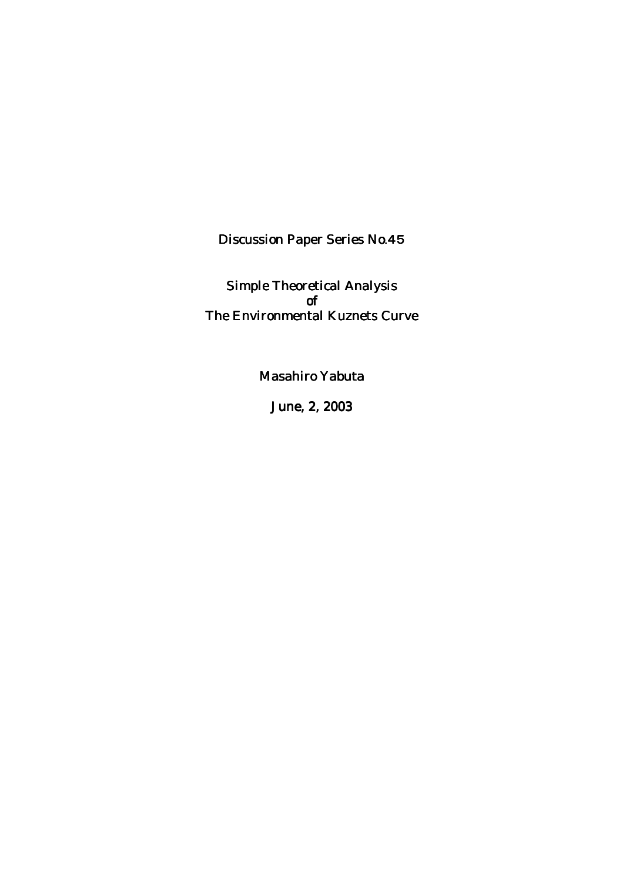Discussion Paper Series No.45

Simple Theoretical Analysis of The Environmental Kuznets Curve

Masahiro Yabuta

June, 2, 2003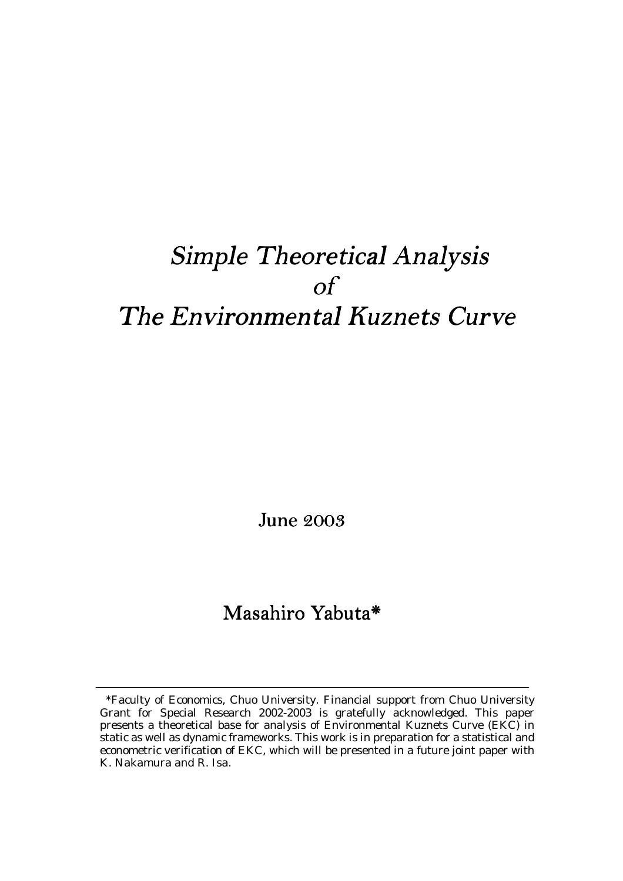# Simple Theoretical Analysis of The Environmental Kuznets Curve

June 2003

# Masahiro Yabuta\*

\*Faculty of Economics, Chuo University. Financial support from Chuo University Grant for Special Research 2002-2003 is gratefully acknowledged. This paper presents a theoretical base for analysis of Environmental Kuznets Curve (EKC) in static as well as dynamic frameworks. This work is in preparation for a statistical and econometric verification of EKC, which will be presented in a future joint paper with K. Nakamura and R. Isa.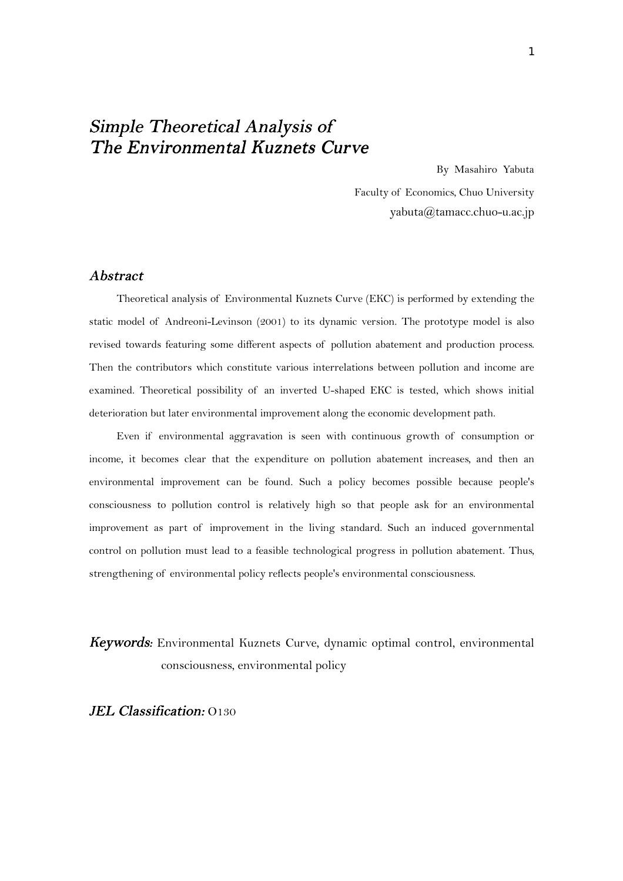# Simple Theoretical Analysis of The Environmental Kuznets Curve

By Masahiro Yabuta

Faculty of Economics, Chuo University yabuta@tamacc.chuo-u.ac.jp

#### Abstract

 Theoretical analysis of Environmental Kuznets Curve (EKC) is performed by extending the static model of Andreoni-Levinson (2001) to its dynamic version. The prototype model is also revised towards featuring some different aspects of pollution abatement and production process. Then the contributors which constitute various interrelations between pollution and income are examined. Theoretical possibility of an inverted U-shaped EKC is tested, which shows initial deterioration but later environmental improvement along the economic development path.

Even if environmental aggravation is seen with continuous growth of consumption or income, it becomes clear that the expenditure on pollution abatement increases, and then an environmental improvement can be found. Such a policy becomes possible because people's consciousness to pollution control is relatively high so that people ask for an environmental improvement as part of improvement in the living standard. Such an induced governmental control on pollution must lead to a feasible technological progress in pollution abatement. Thus, strengthening of environmental policy reflects people's environmental consciousness.

Keywords: Environmental Kuznets Curve, dynamic optimal control, environmental consciousness, environmental policy

JEL Classification: JEL Classification: O130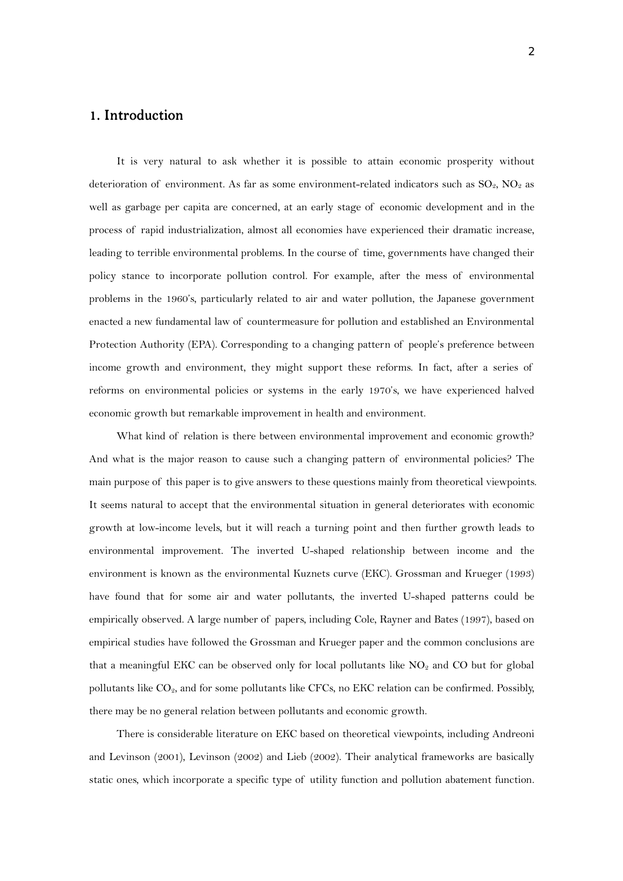### 1. Introduction 1. Introduction

 It is very natural to ask whether it is possible to attain economic prosperity without deterioration of environment. As far as some environment-related indicators such as  $SO_2$ ,  $NO_2$  as well as garbage per capita are concerned, at an early stage of economic development and in the process of rapid industrialization, almost all economies have experienced their dramatic increase, leading to terrible environmental problems. In the course of time, governments have changed their policy stance to incorporate pollution control. For example, after the mess of environmental problems in the 1960's, particularly related to air and water pollution, the Japanese government enacted a new fundamental law of countermeasure for pollution and established an Environmental Protection Authority (EPA). Corresponding to a changing pattern of people's preference between income growth and environment, they might support these reforms. In fact, after a series of reforms on environmental policies or systems in the early 1970's, we have experienced halved economic growth but remarkable improvement in health and environment.

What kind of relation is there between environmental improvement and economic growth? And what is the major reason to cause such a changing pattern of environmental policies? The main purpose of this paper is to give answers to these questions mainly from theoretical viewpoints. It seems natural to accept that the environmental situation in general deteriorates with economic growth at low-income levels, but it will reach a turning point and then further growth leads to environmental improvement. The inverted U-shaped relationship between income and the environment is known as the environmental Kuznets curve (EKC). Grossman and Krueger (1993) have found that for some air and water pollutants, the inverted U-shaped patterns could be empirically observed. A large number of papers, including Cole, Rayner and Bates (1997), based on empirical studies have followed the Grossman and Krueger paper and the common conclusions are that a meaningful EKC can be observed only for local pollutants like  $NO<sub>2</sub>$  and CO but for global pollutants like  $CO<sub>2</sub>$ , and for some pollutants like CFCs, no EKC relation can be confirmed. Possibly, there may be no general relation between pollutants and economic growth.

There is considerable literature on EKC based on theoretical viewpoints, including Andreoni and Levinson (2001), Levinson (2002) and Lieb (2002). Their analytical frameworks are basically static ones, which incorporate a specific type of utility function and pollution abatement function.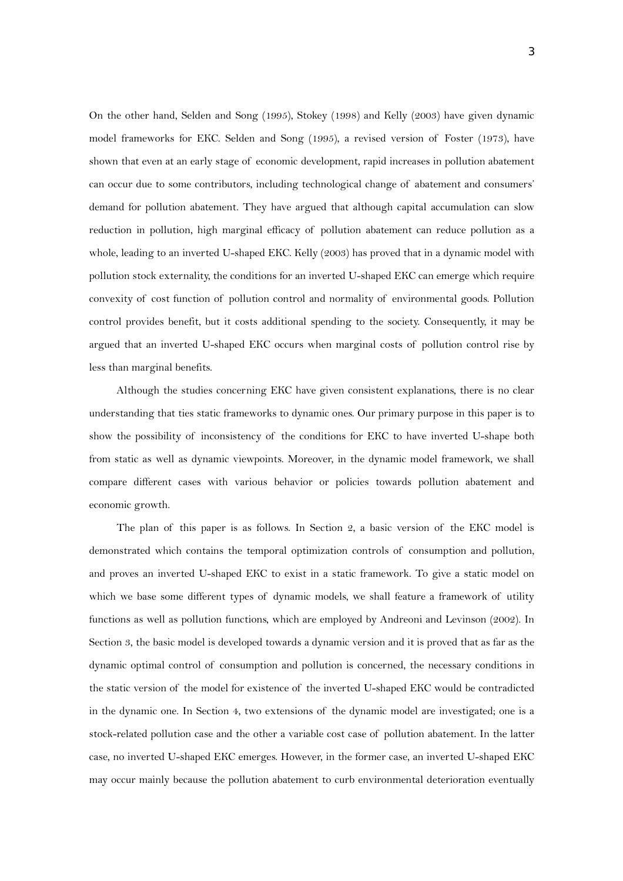On the other hand, Selden and Song (1995), Stokey (1998) and Kelly (2003) have given dynamic model frameworks for EKC. Selden and Song (1995), a revised version of Foster (1973), have shown that even at an early stage of economic development, rapid increases in pollution abatement can occur due to some contributors, including technological change of abatement and consumers' demand for pollution abatement. They have argued that although capital accumulation can slow reduction in pollution, high marginal efficacy of pollution abatement can reduce pollution as a whole, leading to an inverted U-shaped EKC. Kelly (2003) has proved that in a dynamic model with pollution stock externality, the conditions for an inverted U-shaped EKC can emerge which require convexity of cost function of pollution control and normality of environmental goods. Pollution control provides benefit, but it costs additional spending to the society. Consequently, it may be argued that an inverted U-shaped EKC occurs when marginal costs of pollution control rise by less than marginal benefits.

Although the studies concerning EKC have given consistent explanations, there is no clear understanding that ties static frameworks to dynamic ones. Our primary purpose in this paper is to show the possibility of inconsistency of the conditions for EKC to have inverted U-shape both from static as well as dynamic viewpoints. Moreover, in the dynamic model framework, we shall compare different cases with various behavior or policies towards pollution abatement and economic growth.

The plan of this paper is as follows. In Section 2, a basic version of the EKC model is demonstrated which contains the temporal optimization controls of consumption and pollution, and proves an inverted U-shaped EKC to exist in a static framework. To give a static model on which we base some different types of dynamic models, we shall feature a framework of utility functions as well as pollution functions, which are employed by Andreoni and Levinson (2002). In Section 3, the basic model is developed towards a dynamic version and it is proved that as far as the dynamic optimal control of consumption and pollution is concerned, the necessary conditions in the static version of the model for existence of the inverted U-shaped EKC would be contradicted in the dynamic one. In Section 4, two extensions of the dynamic model are investigated; one is a stock-related pollution case and the other a variable cost case of pollution abatement. In the latter case, no inverted U-shaped EKC emerges. However, in the former case, an inverted U-shaped EKC may occur mainly because the pollution abatement to curb environmental deterioration eventually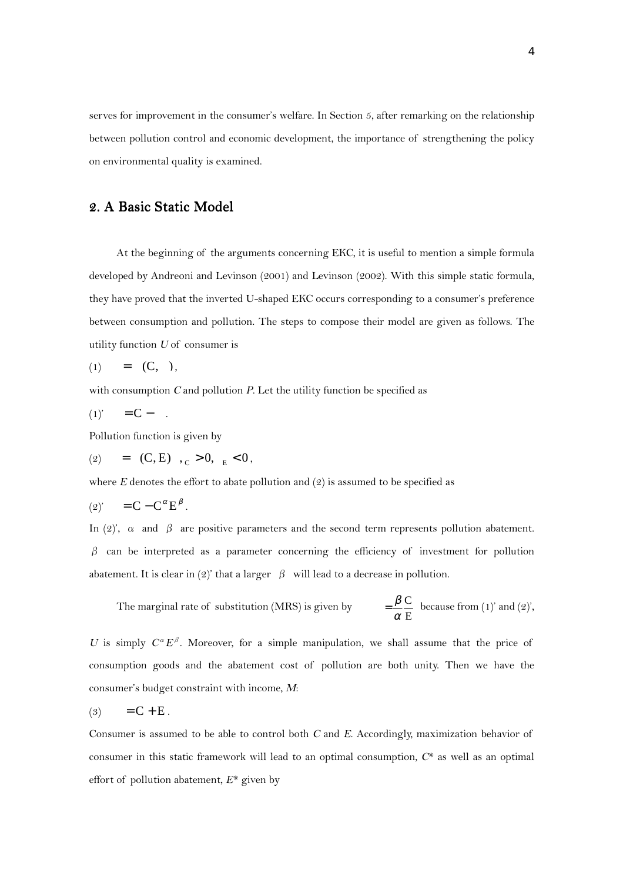serves for improvement in the consumer's welfare. In Section 5, after remarking on the relationship between pollution control and economic development, the importance of strengthening the policy on environmental quality is examined.

## 2. A Basic Static Model

 At the beginning of the arguments concerning EKC, it is useful to mention a simple formula developed by Andreoni and Levinson (2001) and Levinson (2002). With this simple static formula, they have proved that the inverted U-shaped EKC occurs corresponding to a consumer's preference between consumption and pollution. The steps to compose their model are given as follows. The utility function  $U$  of consumer is

$$
(1) = (C, ),
$$

with consumption  $C$  and pollution  $P$ . Let the utility function be specified as

$$
(1)^\prime = \mathbf{C} - \dots
$$

Pollution function is given by

(2) = 
$$
(C, E)
$$
,  $C > 0$ ,  $E < 0$ ,

where  $E$  denotes the effort to abate pollution and  $(2)$  is assumed to be specified as

$$
(2)^\prime = \mathbf{C} - \mathbf{C}^\alpha \mathbf{E}^\beta.
$$

In (2)',  $\alpha$  and  $\beta$  are positive parameters and the second term represents pollution abatement.  $β$  can be interpreted as a parameter concerning the efficiency of investment for pollution abatement. It is clear in (2)' that a larger  $\beta$  will lead to a decrease in pollution.

The marginal rate of substitution (MRS) is given by 
$$
= \frac{\beta C}{\alpha E}
$$
 because from (1)' and (2)',

U is simply  $C^{\alpha}E^{\beta}$ . Moreover, for a simple manipulation, we shall assume that the price of consumption goods and the abatement cost of pollution are both unity. Then we have the consumer's budget constraint with income, M:

$$
(3) = \mathbf{C} + \mathbf{E}.
$$

Consumer is assumed to be able to control both  $C$  and  $E$ . Accordingly, maximization behavior of consumer in this static framework will lead to an optimal consumption,  $C^*$  as well as an optimal effort of pollution abatement,  $E^*$  given by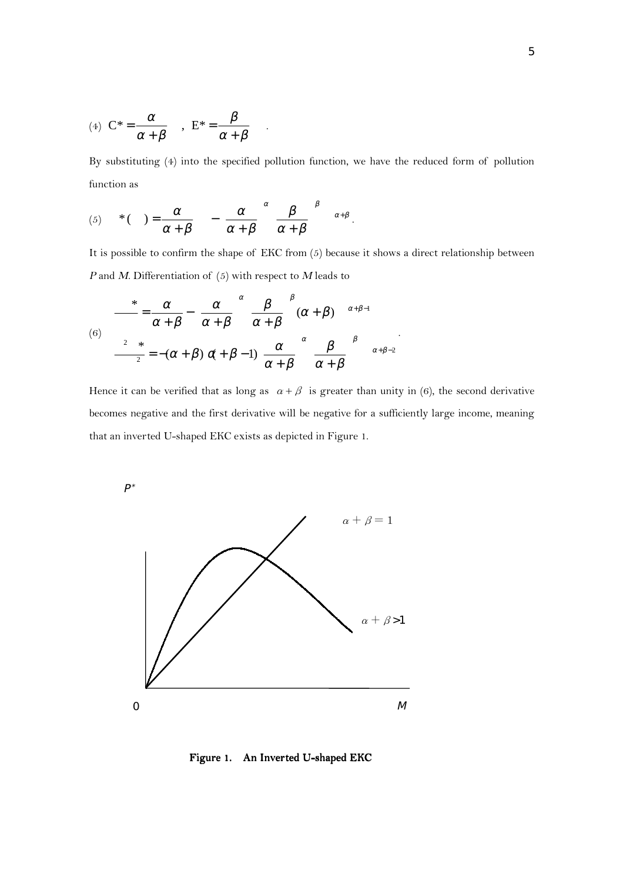$$
(4) \ \mathbf{C}^* = \frac{\alpha}{\alpha + \beta} \quad , \ \ \mathbf{E}^* = \frac{\beta}{\alpha + \beta} \quad .
$$

By substituting (4) into the specified pollution function, we have the reduced form of pollution function as

$$
(5) \quad *(\quad) = \frac{\alpha}{\alpha + \beta} \quad -\left(\frac{\alpha}{\alpha + \beta}\right)^{\alpha} \left(\frac{\beta}{\alpha + \beta}\right)^{\beta} \quad \alpha + \beta.
$$

It is possible to confirm the shape of EKC from (5) because it shows a direct relationship between P and M. Differentiation of  $(5)$  with respect to M leads to

.

$$
\begin{aligned}\n&\text{(*)}\quad \frac{\pi}{\alpha+\beta} - \left(\frac{\alpha}{\alpha+\beta}\right)^{\alpha}\left(\frac{\beta}{\alpha+\beta}\right)^{\beta}(\alpha+\beta)\quad \frac{\alpha+\beta-1}{\alpha+\beta-1} \\
&\text{(*)}\quad \frac{2-\pi}{2} = -(\alpha+\beta)\ \alpha+\beta-1 &\text{(*)}\quad \frac{\alpha}{\alpha+\beta}\text{(*)}\quad \frac{\alpha+\beta-2}{\alpha+\beta-2}\n\end{aligned}
$$

Hence it can be verified that as long as  $\alpha + \beta$  is greater than unity in (6), the second derivative becomes negative and the first derivative will be negative for a sufficiently large income, meaning that an inverted U-shaped EKC exists as depicted in Figure 1.

 $P^*$ 



Figure 1. An Inverted U-shaped EKC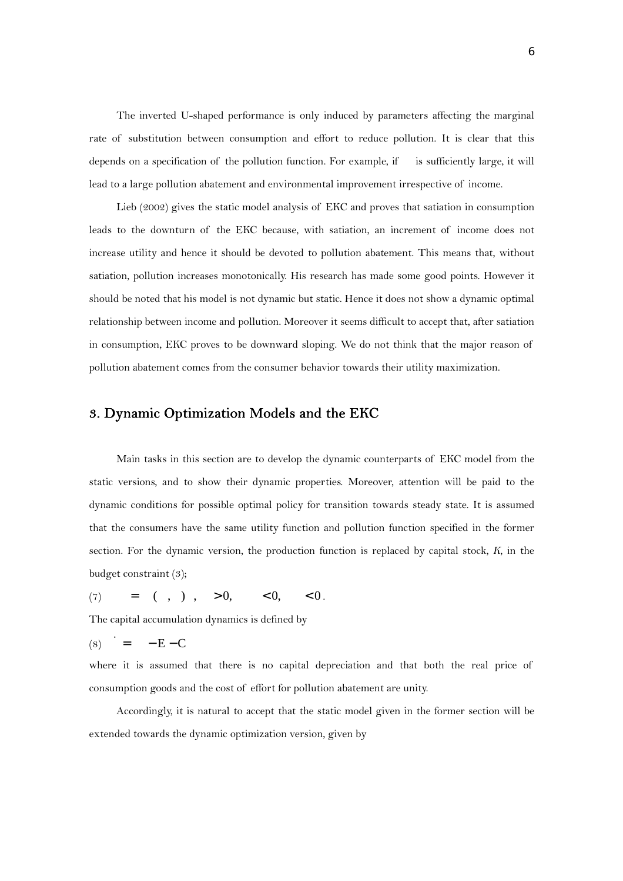The inverted U-shaped performance is only induced by parameters affecting the marginal rate of substitution between consumption and effort to reduce pollution. It is clear that this depends on a specification of the pollution function. For example, if is sufficiently large, it will lead to a large pollution abatement and environmental improvement irrespective of income.

Lieb (2002) gives the static model analysis of EKC and proves that satiation in consumption leads to the downturn of the EKC because, with satiation, an increment of income does not increase utility and hence it should be devoted to pollution abatement. This means that, without satiation, pollution increases monotonically. His research has made some good points. However it should be noted that his model is not dynamic but static. Hence it does not show a dynamic optimal relationship between income and pollution. Moreover it seems difficult to accept that, after satiation in consumption, EKC proves to be downward sloping. We do not think that the major reason of pollution abatement comes from the consumer behavior towards their utility maximization.

### 3. Dynamic Optimization Models and the EKC

 Main tasks in this section are to develop the dynamic counterparts of EKC model from the static versions, and to show their dynamic properties. Moreover, attention will be paid to the dynamic conditions for possible optimal policy for transition towards steady state. It is assumed that the consumers have the same utility function and pollution function specified in the former section. For the dynamic version, the production function is replaced by capital stock, K, in the budget constraint (3);

$$
(7) \qquad = \quad (\quad , \quad ) \quad , \quad >0, \qquad <0, \qquad <0 \, .
$$

The capital accumulation dynamics is defined by

$$
(8) \quad = \quad -E - C
$$

where it is assumed that there is no capital depreciation and that both the real price of consumption goods and the cost of effort for pollution abatement are unity.

 Accordingly, it is natural to accept that the static model given in the former section will be extended towards the dynamic optimization version, given by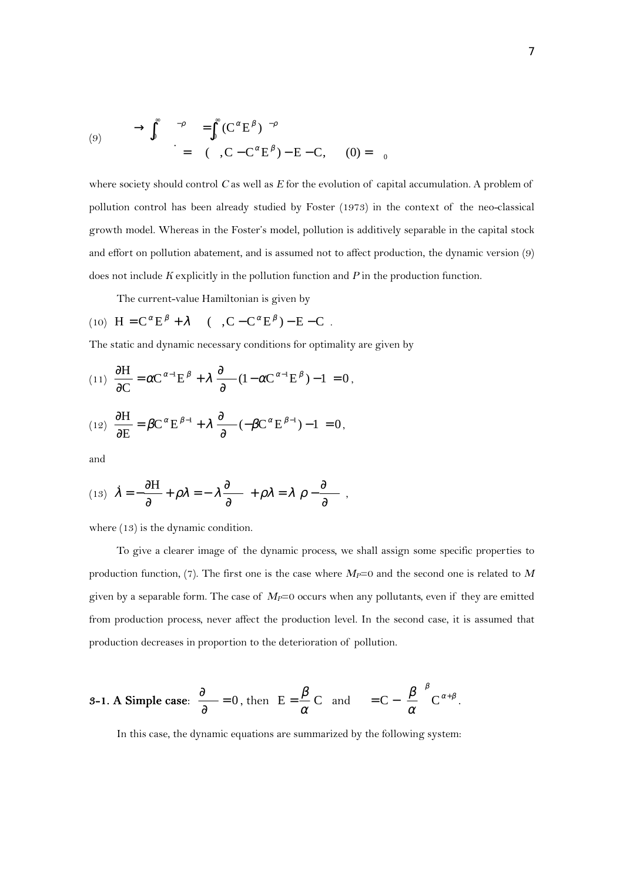$$
\begin{array}{ccc}\n\text{(9)} & \rightarrow \int_0^\infty & \xrightarrow{-\rho} & = \int_0^\infty (\mathbf{C}^\alpha \mathbf{E}^\beta)^{-\rho} \\
\vdots & \vdots \\
\mathbf{C} - \mathbf{C}^\alpha \mathbf{E}^\beta - \mathbf{E} - \mathbf{C}, \\
\mathbf{C} - \mathbf{C}^\alpha \mathbf{C}^\beta\n\end{array}
$$

where society should control  $C$  as well as  $E$  for the evolution of capital accumulation. A problem of pollution control has been already studied by Foster (1973) in the context of the neo-classical growth model. Whereas in the Foster's model, pollution is additively separable in the capital stock and effort on pollution abatement, and is assumed not to affect production, the dynamic version (9) does not include  $K$  explicitly in the pollution function and  $P$  in the production function.

The current-value Hamiltonian is given by

(10) 
$$
H = C^{\alpha} E^{\beta} + \lambda
$$
 (  $AC - C^{\alpha} E^{\beta} - E - C$ .

The static and dynamic necessary conditions for optimality are given by

(11) 
$$
\frac{\partial H}{\partial C} = \alpha C^{\alpha - 1} E^{\beta} + \lambda \frac{\partial}{\partial} (1 - \alpha C^{\alpha - 1} E^{\beta}) - 1 = 0,
$$

(12) 
$$
\frac{\partial H}{\partial E} = \beta C^{\alpha} E^{\beta - 1} + \lambda \frac{\partial}{\partial} (-\beta C^{\alpha} E^{\beta - 1}) - 1 = 0,
$$

and

(13) 
$$
\dot{\lambda} = -\frac{\partial H}{\partial} + \rho \lambda = -\lambda \frac{\partial}{\partial} + \rho \lambda = \lambda \rho - \frac{\partial}{\partial}
$$
,

where (13) is the dynamic condition.

To give a clearer image of the dynamic process, we shall assign some specific properties to production function, (7). The first one is the case where  $M_P=0$  and the second one is related to M given by a separable form. The case of  $M_P=0$  occurs when any pollutants, even if they are emitted from production process, never affect the production level. In the second case, it is assumed that production decreases in proportion to the deterioration of pollution.

**3-1. A Simple case:** 
$$
\frac{\partial}{\partial \theta} = 0
$$
, then  $E = \frac{\beta}{\alpha} C$  and  $= C - \left(\frac{\beta}{\alpha}\right)^{\beta} C^{\alpha+\beta}$ .

In this case, the dynamic equations are summarized by the following system: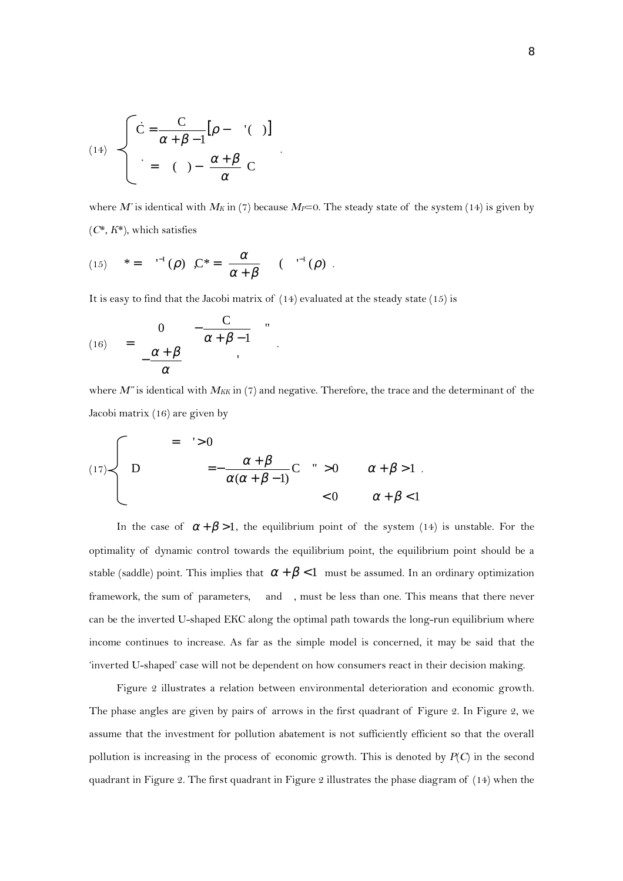$$
\begin{pmatrix} 14 \end{pmatrix} \begin{cases} \n\dot{C} = \frac{C}{\alpha + \beta - 1} [\rho - \langle \cdot \rangle] \\ \n= (\cdot) - \left( \frac{\alpha + \beta}{\alpha} \right) C \n\end{cases}
$$

where M' is identical with  $M_K$  in (7) because  $M_P$ =0. The steady state of the system (14) is given by  $(C^*, K^*)$ , which satisfies

(15) 
$$
* = \square^1(\rho) \mathcal{L}^* = \left(\frac{\alpha}{\alpha + \beta}\right) \left(\square^1(\rho)\right).
$$

It is easy to find that the Jacobi matrix of (14) evaluated at the steady state (15) is

.

$$
(16) \quad = \left[ \begin{array}{cc} 0 & -\frac{C}{\alpha + \beta - 1} \\ -\frac{\alpha + \beta}{\alpha} & \end{array} \right].
$$

where  $M$ " is identical with  $M_{KK}$  in (7) and negative. Therefore, the trace and the determinant of the Jacobi matrix (16) are given by

$$
(17) \begin{cases}\n\begin{aligned}\n&= & ' > 0 \\
D &= & -\frac{\alpha + \beta}{\alpha(\alpha + \beta - 1)} C \quad " > 0 \\
&& & & \alpha + \beta > 1 \\
&< 0 & \alpha + \beta < 1\n\end{aligned}\n\end{cases}
$$

In the case of  $\alpha + \beta > 1$ , the equilibrium point of the system (14) is unstable. For the optimality of dynamic control towards the equilibrium point, the equilibrium point should be a stable (saddle) point. This implies that  $\alpha + \beta < 1$  must be assumed. In an ordinary optimization framework, the sum of parameters, and , must be less than one. This means that there never can be the inverted U-shaped EKC along the optimal path towards the long-run equilibrium where income continues to increase. As far as the simple model is concerned, it may be said that the 'inverted U-shaped' case will not be dependent on how consumers react in their decision making.

 Figure 2 illustrates a relation between environmental deterioration and economic growth. The phase angles are given by pairs of arrows in the first quadrant of Figure 2. In Figure 2, we assume that the investment for pollution abatement is not sufficiently efficient so that the overall pollution is increasing in the process of economic growth. This is denoted by  $P(C)$  in the second quadrant in Figure 2. The first quadrant in Figure 2 illustrates the phase diagram of (14) when the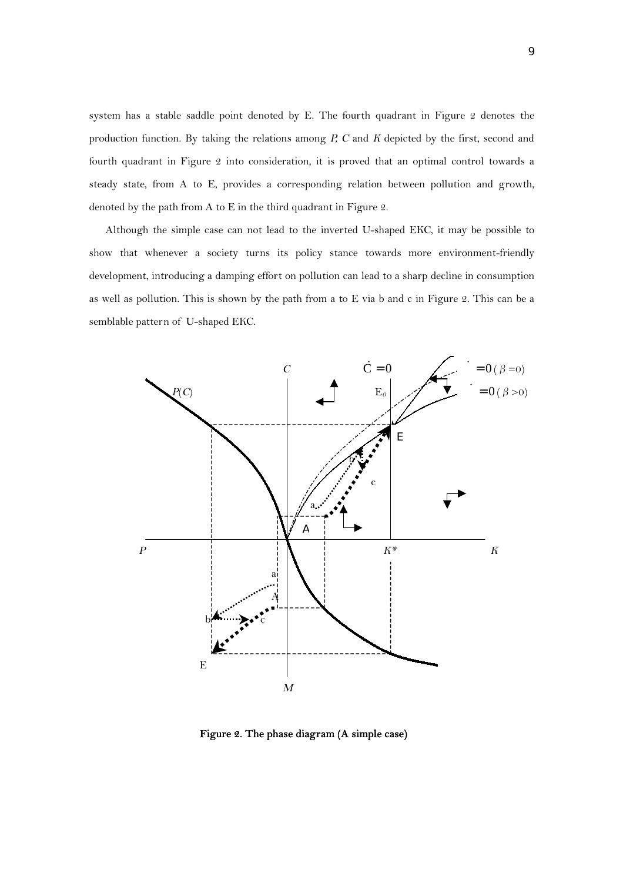system has a stable saddle point denoted by E. The fourth quadrant in Figure 2 denotes the production function. By taking the relations among  $P$ ,  $C$  and  $K$  depicted by the first, second and fourth quadrant in Figure 2 into consideration, it is proved that an optimal control towards a steady state, from A to E, provides a corresponding relation between pollution and growth, denoted by the path from A to E in the third quadrant in Figure 2.

 Although the simple case can not lead to the inverted U-shaped EKC, it may be possible to show that whenever a society turns its policy stance towards more environment-friendly development, introducing a damping effort on pollution can lead to a sharp decline in consumption as well as pollution. This is shown by the path from a to E via b and c in Figure 2. This can be a semblable pattern of U-shaped EKC.



Figure 2. The phase diagram (A simple case)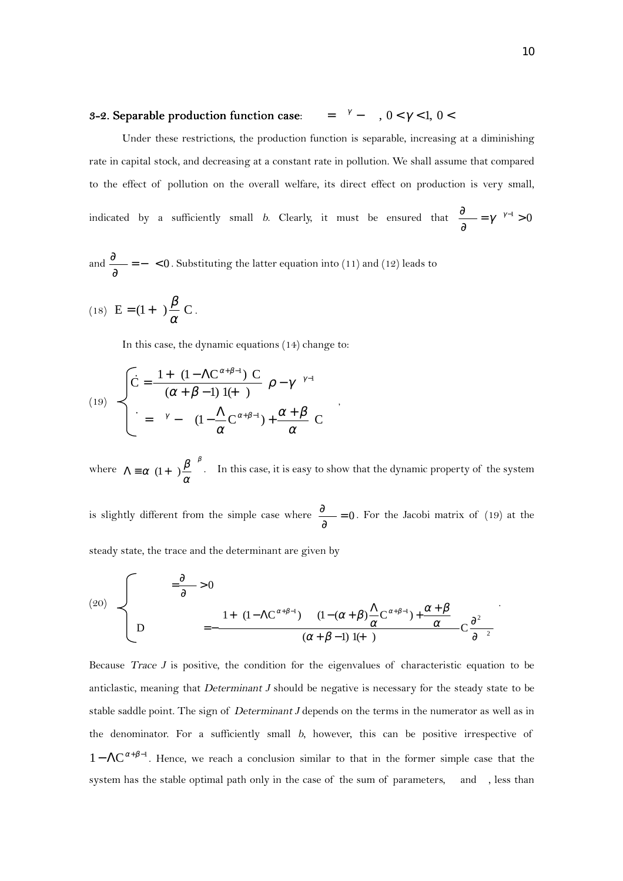### 3-2. Separable production function case:  $= \gamma - 0 < \gamma < 1, 0 < \gamma$

Under these restrictions, the production function is separable, increasing at a diminishing rate in capital stock, and decreasing at a constant rate in pollution. We shall assume that compared to the effect of pollution on the overall welfare, its direct effect on production is very small,  $\frac{\partial}{\partial y} = \gamma^{y-}$ 

indicated by a sufficiently small b. Clearly, it must be ensured that  $\frac{\sigma}{2} = \gamma \gamma^{-1} > 0$ ∂

and  $\frac{6}{2} = - \le 0$ . ∂  $\frac{\partial}{\partial s}$  = - < 0. Substituting the latter equation into (11) and (12) leads to

(18) 
$$
E = (1 + \alpha) \frac{\beta}{\alpha} C.
$$

In this case, the dynamic equations (14) change to:

(19) 
$$
\begin{cases} \n\dot{C} = \frac{1 + (1 - \Lambda C^{\alpha + \beta - 1}) C}{(\alpha + \beta - 1) 1 + (\alpha + \beta)} \n\end{cases} \quad \rho - \gamma^{-\gamma - 1}
$$
\n
$$
= \gamma - \left( (1 - \frac{\Lambda}{\alpha} C^{\alpha + \beta - 1}) + \frac{\alpha + \beta}{\alpha} \right) C
$$

where  $\Lambda = \alpha \left( (1 + \alpha) \frac{\beta}{\beta} \right)^{\beta}$  $\alpha\left((1+\frac{\beta}{\alpha}\right)$  $\overline{1}$  $\left(1+\frac{\beta}{\beta}\right)$ l  $\Lambda = \alpha \Big( (1+\frac{1}{\beta})^{\beta} \Big)$ . In this case, it is easy to show that the dynamic property of the system

,

is slightly different from the simple case where  $\frac{0}{2} = 0$ . ∂  $\frac{\partial}{\partial t} = 0$ . For the Jacobi matrix of (19) at the

steady state, the trace and the determinant are given by

(20) 
$$
\begin{cases}\n\frac{\partial}{\partial} > 0 \\
D & = -\frac{1 + (1 - \Lambda C^{\alpha + \beta - 1}) - (1 - (\alpha + \beta) \frac{\Lambda}{\alpha} C^{\alpha + \beta - 1}) + \frac{\alpha + \beta}{\alpha}}{(\alpha + \beta - 1) 1 + 1} C^{\frac{\lambda}{\alpha}} \frac{\partial^2}{\partial^2}\n\end{cases}
$$

Because Trace J is positive, the condition for the eigenvalues of characteristic equation to be anticlastic, meaning that Determinant J should be negative is necessary for the steady state to be stable saddle point. The sign of *Determinant J* depends on the terms in the numerator as well as in the denominator. For a sufficiently small b, however, this can be positive irrespective of  $1 - AC^{\alpha+\beta-1}$ . Hence, we reach a conclusion similar to that in the former simple case that the system has the stable optimal path only in the case of the sum of parameters, and , less than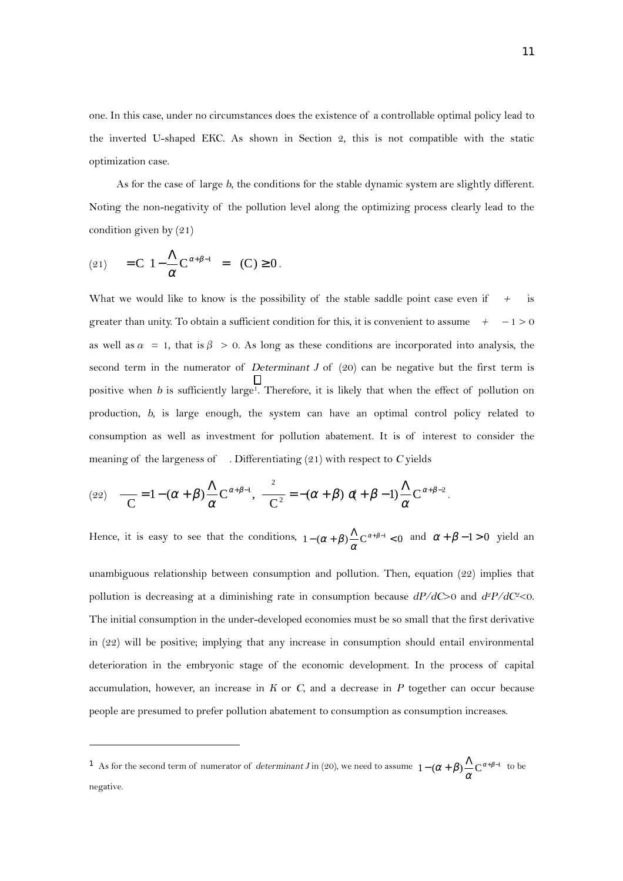one. In this case, under no circumstances does the existence of a controllable optimal policy lead to the inverted U-shaped EKC. As shown in Section 2, this is not compatible with the static optimization case.

As for the case of large b, the conditions for the stable dynamic system are slightly different. Noting the non-negativity of the pollution level along the optimizing process clearly lead to the condition given by (21)

$$
(21) \qquad = C\left(1 - \frac{\Lambda}{\alpha} C^{\alpha + \beta - 1}\right) = \quad (C) \ge 0.
$$

 $\overline{a}$ 

What we would like to know is the possibility of the stable saddle point case even if  $+$  is greater than unity. To obtain a sufficient condition for this, it is convenient to assume  $+ -1 > 0$ as well as  $\alpha = 1$ , that is  $\beta > 0$ . As long as these conditions are incorporated into analysis, the second term in the numerator of *Determinant J* of  $(20)$  can be negative but the first term is positive when b is sufficiently large<sup>1</sup>. Therefore, it is likely that when the effect of pollution on production, b, is large enough, the system can have an optimal control policy related to consumption as well as investment for pollution abatement. It is of interest to consider the meaning of the largeness of . Differentiating  $(21)$  with respect to C yields

(22) 
$$
\frac{}{C} = 1 - (\alpha + \beta) \frac{\Lambda}{\alpha} C^{\alpha + \beta - 1}, \frac{2}{C^2} = -(\alpha + \beta) \alpha + \beta - 1 \frac{\Lambda}{\alpha} C^{\alpha + \beta - 2}.
$$

Hence, it is easy to see that the conditions,  $1 - (\alpha + \beta) \frac{\Lambda}{\alpha} C^{\alpha + \beta - 1} < 0$  and  $\alpha + \beta - 1 > 0$  yield an

unambiguous relationship between consumption and pollution. Then, equation (22) implies that pollution is decreasing at a diminishing rate in consumption because  $dP/dC>0$  and  $d^2P/dC^2<0$ . The initial consumption in the under-developed economies must be so small that the first derivative in (22) will be positive; implying that any increase in consumption should entail environmental deterioration in the embryonic stage of the economic development. In the process of capital accumulation, however, an increase in  $K$  or  $C$ , and a decrease in  $P$  together can occur because people are presumed to prefer pollution abatement to consumption as consumption increases.

<sup>&</sup>lt;sup>1</sup> As for the second term of numerator of *determinant J* in (20), we need to assume  $1 - (\alpha + \beta) \frac{\Lambda}{\alpha} C^{\alpha + \beta - 1}$  to be negative.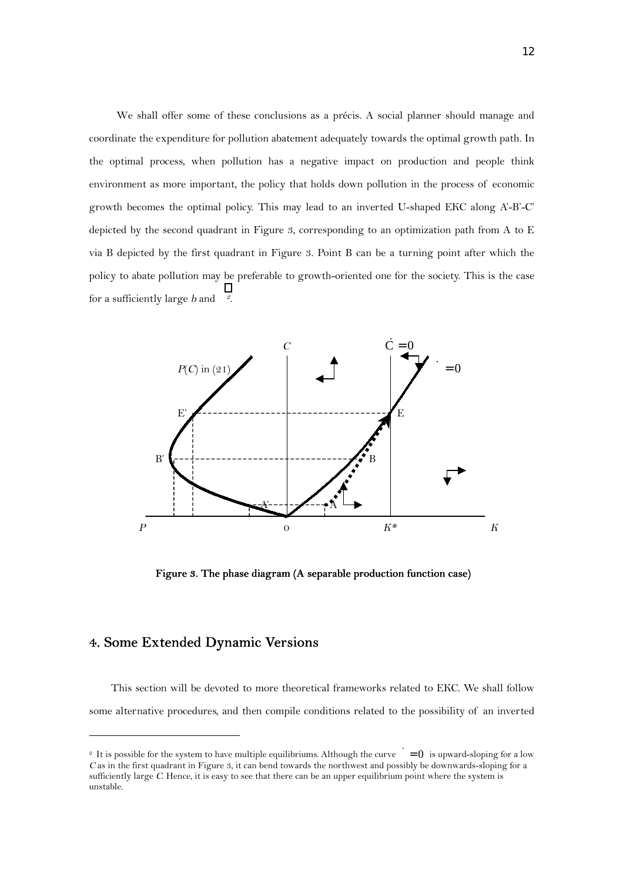We shall offer some of these conclusions as a précis. A social planner should manage and coordinate the expenditure for pollution abatement adequately towards the optimal growth path. In the optimal process, when pollution has a negative impact on production and people think environment as more important, the policy that holds down pollution in the process of economic growth becomes the optimal policy. This may lead to an inverted U-shaped EKC along A'-B'-C' depicted by the second quadrant in Figure 3, corresponding to an optimization path from A to E via B depicted by the first quadrant in Figure 3. Point B can be a turning point after which the policy to abate pollution may be preferable to growth-oriented one for the society. This is the case for a sufficiently large b and  $\frac{2}{x}$ .



Figure 3. The phase diagram (A separable production function case)

### 4. Some Extended Dynamic Versions

 $\overline{a}$ 

This section will be devoted to more theoretical frameworks related to EKC. We shall follow some alternative procedures, and then compile conditions related to the possibility of an inverted

<sup>&</sup>lt;sup>2</sup> It is possible for the system to have multiple equilibriums. Although the curve  $\dot{ } = 0$  is upward-sloping for a low <sup>C</sup>as in the first quadrant in Figure 3, it can bend towards the northwest and possibly be downwards-sloping for a sufficiently large C. Hence, it is easy to see that there can be an upper equilibrium point where the system is unstable.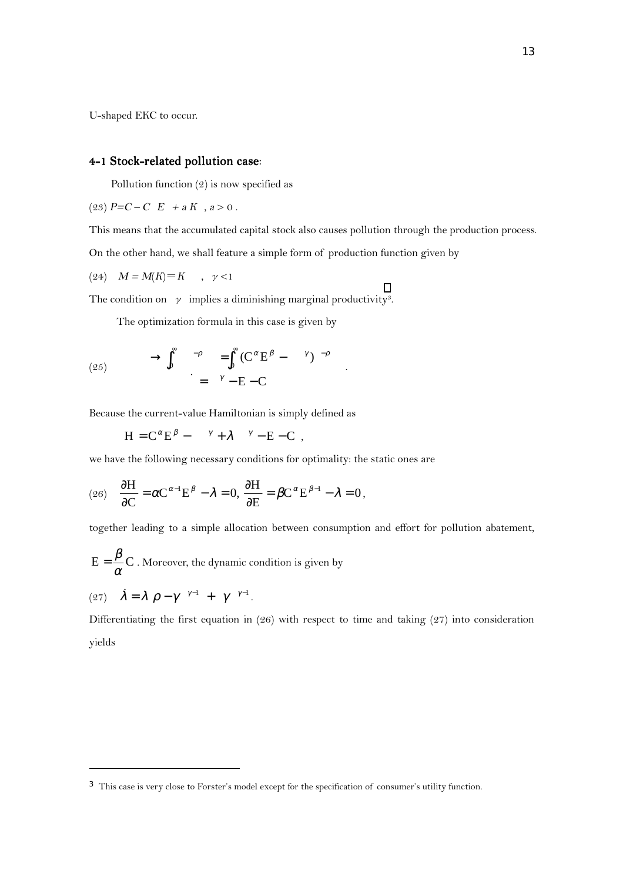U-shaped EKC to occur.

#### 4-1 Stock-related pollution case:

Pollution function (2) is now specified as

(23)  $P=C-C \ E \ + a \ K \ , a>0$ .

This means that the accumulated capital stock also causes pollution through the production process.

On the other hand, we shall feature a simple form of production function given by

(24)  $M = M(K) = K$ ,  $\gamma < 1$ 

The condition on  $\gamma$  implies a diminishing marginal productivity<sup>3</sup>.

The optimization formula in this case is given by

(25) 
$$
\longrightarrow \int_0^\infty \begin{array}{ccc} -\rho & = \int_0^\infty (C^\alpha E^\beta - \gamma)^{-\rho} \\ \vdots & \vdots \\ \rho & = \gamma - E - C \end{array}
$$

Because the current-value Hamiltonian is simply defined as

 $\label{eq:hamiltonian} \mathbf{H}=\mathbf{C}^{\alpha}\mathbf{E}^{\beta}-\quad ^{\gamma}+\lambda\quad ^{\gamma}-\mathbf{E}-\mathbf{C}~,$ 

we have the following necessary conditions for optimality: the static ones are

(26) 
$$
\frac{\partial H}{\partial C} = \alpha C^{\alpha - 1} E^{\beta} - \lambda = 0, \frac{\partial H}{\partial E} = \beta C^{\alpha} E^{\beta - 1} - \lambda = 0,
$$

together leading to a simple allocation between consumption and effort for pollution abatement,

$$
E = \frac{\beta}{\alpha} C
$$
. Moreover, the dynamic condition is given by

$$
(27) \quad \lambda = \lambda \, \rho - \gamma \quad ^{\gamma-1} + \gamma \quad ^{\gamma-1}.
$$

 $\overline{a}$ 

Differentiating the first equation in (26) with respect to time and taking (27) into consideration yields

<sup>3</sup> This case is very close to Forster's model except for the specification of consumer's utility function.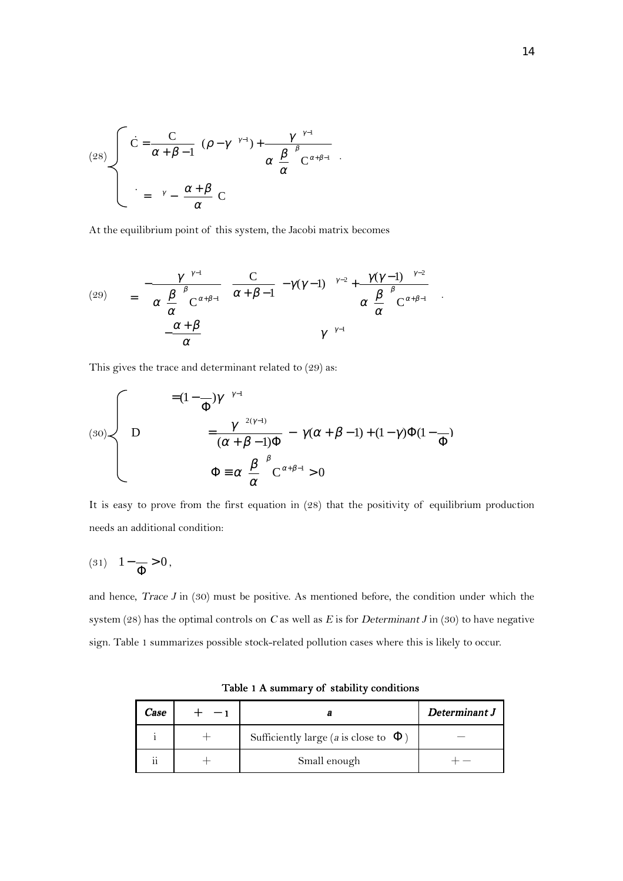(28)
$$
\left\{\n\begin{aligned}\n\dot{C} &= \frac{C}{\alpha + \beta - 1} \left[ (\rho - \gamma^{-\gamma - 1}) + \frac{\gamma^{-\gamma - 1}}{\alpha \left( \frac{\beta}{\alpha} \right)^{\beta} C^{\alpha + \beta - 1}} \right] \\
&= \gamma - \left( \frac{\alpha + \beta}{\alpha} \right) C\n\end{aligned}\n\right.
$$

At the equilibrium point of this system, the Jacobi matrix becomes

(29) 
$$
= \left[ -\frac{\gamma^{\gamma-1}}{\alpha \left(\frac{\beta}{\alpha}\right)^{\beta} C^{\alpha+\beta-1}} \frac{C}{\alpha+\beta-1} \left[ -\gamma(\gamma-1) \frac{\gamma-2}{\alpha} + \frac{\gamma(\gamma-1)}{\alpha \left(\frac{\beta}{\alpha}\right)^{\beta} C^{\alpha+\beta-1}} \right] \right].
$$

This gives the trace and determinant related to (29) as:

(30)  
\n
$$
\begin{aligned}\n&= (1 - \frac{\gamma}{\Phi})\gamma^{-\gamma-1} \\
&= \frac{\gamma^{-2(\gamma-1)}}{(\alpha + \beta - 1)\Phi} - \gamma(\alpha + \beta - 1) + (1 - \gamma)\Phi(1 - \frac{\gamma}{\Phi}) \\
&\Phi \equiv \alpha \left(\frac{\beta}{\alpha}\right)^{\beta} C^{\alpha + \beta - 1} > 0\n\end{aligned}
$$

It is easy to prove from the first equation in (28) that the positivity of equilibrium production needs an additional condition:

$$
(31)\quad 1-\frac{\ }{\Phi}>0\,,
$$

and hence, Trace  $J$  in (30) must be positive. As mentioned before, the condition under which the system (28) has the optimal controls on C as well as E is for Determinant J in (30) to have negative sign. Table 1 summarizes possible stock-related pollution cases where this is likely to occur.

| <i>Case</i> |                                            | Determinant J |
|-------------|--------------------------------------------|---------------|
|             | Sufficiently large (a is close to $\Phi$ ) |               |
| $\cdot$ .   | Small enough                               |               |

Table 1 A summary of stability conditions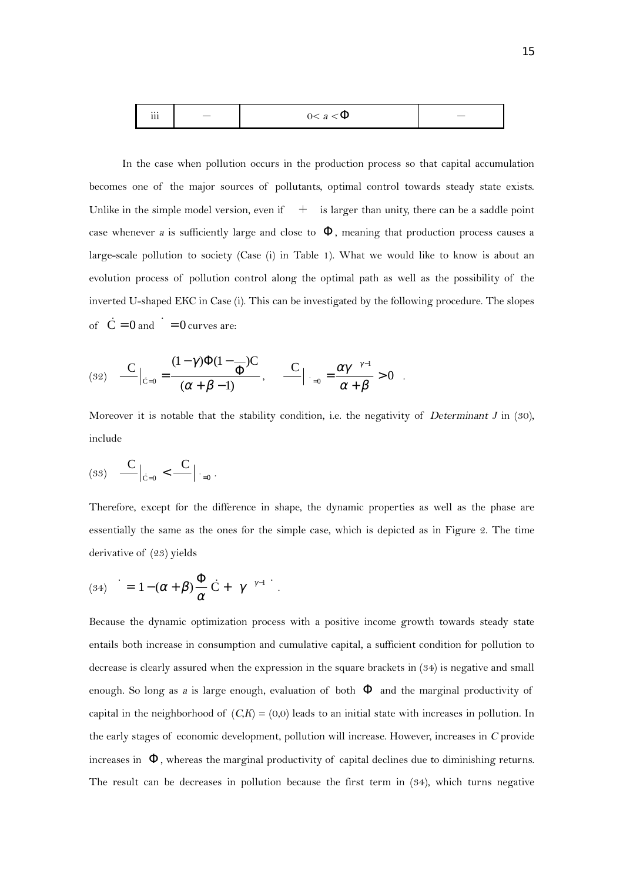| $\rm iii$ | $\sim$<br>ζΨ<br>$\sqrt{2}$<br>$\boldsymbol{d}$ | $\overline{\phantom{a}}$ |
|-----------|------------------------------------------------|--------------------------|
|-----------|------------------------------------------------|--------------------------|

 In the case when pollution occurs in the production process so that capital accumulation becomes one of the major sources of pollutants, optimal control towards steady state exists. Unlike in the simple model version, even if  $+$  is larger than unity, there can be a saddle point case whenever a is sufficiently large and close to  $\Phi$ , meaning that production process causes a large-scale pollution to society (Case (i) in Table 1). What we would like to know is about an evolution process of pollution control along the optimal path as well as the possibility of the inverted U-shaped EKC in Case (i). This can be investigated by the following procedure. The slopes of  $\dot{C} = 0$  and  $\dot{C} = 0$  curves are:

$$
(32) \quad \frac{C}{\vert_{\dot{C}=0}} = \frac{(1-\gamma)\Phi(1-\frac{\gamma}{\Phi})C}{(\alpha+\beta-1)}, \quad \frac{C}{\vert_{\dot{C}=0}} = \frac{\alpha\gamma^{\gamma-1}}{\alpha+\beta} > 0 \quad .
$$

Moreover it is notable that the stability condition, i.e. the negativity of *Determinant J* in  $(30)$ , include

$$
(33) \quad \frac{C}{C}\Big|_{C=0} < \frac{C}{C}\Big|_{C=0}.
$$

Therefore, except for the difference in shape, the dynamic properties as well as the phase are essentially the same as the ones for the simple case, which is depicted as in Figure 2. The time derivative of (23) yields

(34) 
$$
= 1 - (\alpha + \beta) \frac{\Phi}{\alpha} \dot{C} + \gamma^{\gamma-1}.
$$

Because the dynamic optimization process with a positive income growth towards steady state entails both increase in consumption and cumulative capital, a sufficient condition for pollution to decrease is clearly assured when the expression in the square brackets in (34) is negative and small enough. So long as a is large enough, evaluation of both  $\Phi$  and the marginal productivity of capital in the neighborhood of  $(C,K) = (0,0)$  leads to an initial state with increases in pollution. In the early stages of economic development, pollution will increase. However, increases in C provide increases in  $\Phi$ , whereas the marginal productivity of capital declines due to diminishing returns. The result can be decreases in pollution because the first term in (34), which turns negative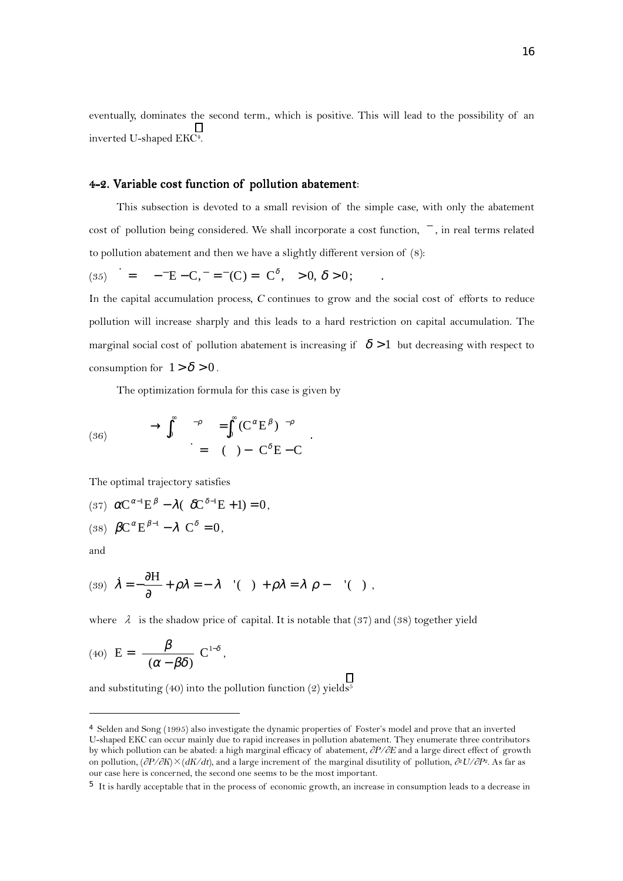eventually, dominates the second term., which is positive. This will lead to the possibility of an inverted U-shaped EKC4.

#### 4-2. Variable cost function of pollution abatement:

This subsection is devoted to a small revision of the simple case, with only the abatement cost of pollution being considered. We shall incorporate a cost function,  $\overline{\phantom{a}}$ , in real terms related to pollution abatement and then we have a slightly different version of (8):

(35)  $= -\mathbf{E} - \mathbf{C}$ ,  $= -(\mathbf{C}) = \mathbf{C}^{\delta}$ ,  $> 0$ ,  $\delta > 0$ ;

In the capital accumulation process, C continues to grow and the social cost of efforts to reduce pollution will increase sharply and this leads to a hard restriction on capital accumulation. The marginal social cost of pollution abatement is increasing if  $\delta > 1$  but decreasing with respect to consumption for  $1 > \delta > 0$ .

The optimization formula for this case is given by

(36) 
$$
\longrightarrow \int_0^\infty \begin{array}{cc} -\rho & = \int_0^\infty (\mathbf{C}^\alpha \mathbf{E}^\beta)^{-\rho} \\ = & (-) - \mathbf{C}^\delta \mathbf{E} - \mathbf{C} \end{array}.
$$

The optimal trajectory satisfies

(37)  $\alpha C^{\alpha-1} E^{\beta} - \lambda (\delta C^{\delta-1} E + 1) = 0$ , (38)  $\beta C^{\alpha} E^{\beta-1} - \lambda C^{\delta} = 0$ .

and

 $\overline{a}$ 

(39) 
$$
\dot{\lambda} = -\frac{\partial H}{\partial} + \rho \lambda = -\lambda
$$
 '  $( ) + \rho \lambda = \lambda \rho -$  '  $( )$  ,

where  $\lambda$  is the shadow price of capital. It is notable that (37) and (38) together yield

(40) 
$$
E = \left(\frac{\beta}{(\alpha - \beta\delta)}\right) C^{1-\delta},
$$

and substituting (40) into the pollution function (2) yields<sup>5</sup>

<sup>4</sup> Selden and Song (1995) also investigate the dynamic properties of Foster's model and prove that an inverted U-shaped EKC can occur mainly due to rapid increases in pollution abatement. They enumerate three contributors by which pollution can be abated: a high marginal efficacy of abatement, ∂P/∂E and a large direct effect of growth on pollution,  $\frac{\partial P}{\partial K} \times \frac{dK}{dt}$ , and a large increment of the marginal disutility of pollution,  $\frac{\partial P}{\partial P}$ . As far as our case here is concerned, the second one seems to be the most important.

<sup>5</sup> It is hardly acceptable that in the process of economic growth, an increase in consumption leads to a decrease in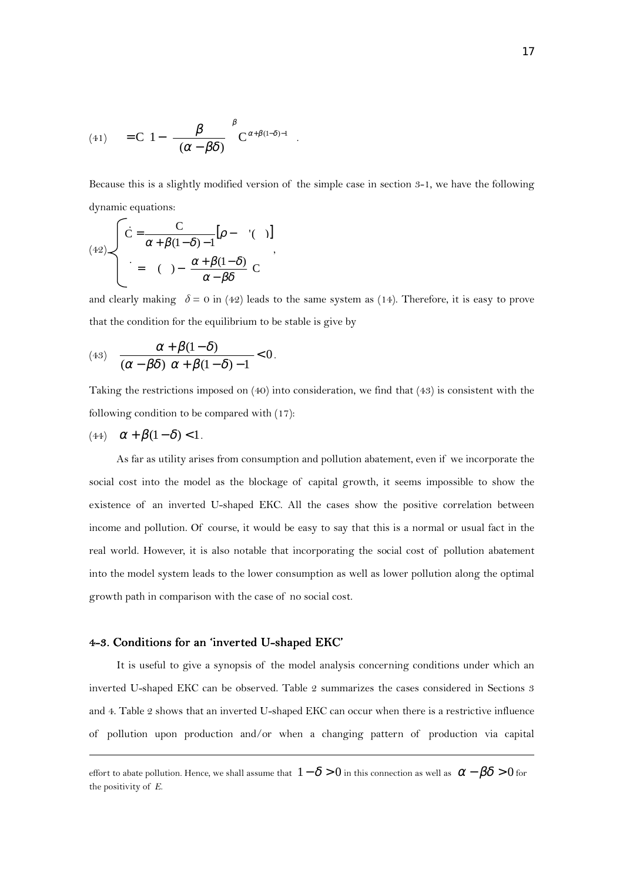(41) 
$$
= C \left( 1 - \left( \frac{\beta}{(\alpha - \beta \delta)} \right)^{\beta} C^{\alpha + \beta (1 - \delta) - 1} \right).
$$

Because this is a slightly modified version of the simple case in section 3-1, we have the following dynamic equations:

$$
(42)\begin{cases} \n\dot{C} = \frac{C}{\alpha + \beta(1-\delta) - 1} [\rho - \langle \cdot \rangle] \\ \n= (\cdot) - \left( \frac{\alpha + \beta(1-\delta)}{\alpha - \beta\delta} \right) C \n\end{cases},
$$

and clearly making  $\delta = 0$  in (42) leads to the same system as (14). Therefore, it is easy to prove that the condition for the equilibrium to be stable is give by

(43) 
$$
\frac{\alpha + \beta(1-\delta)}{(\alpha-\beta\delta)\ \alpha + \beta(1-\delta)-1} < 0.
$$

Taking the restrictions imposed on (40) into consideration, we find that (43) is consistent with the following condition to be compared with (17):

$$
(44) \quad \alpha + \beta(1-\delta) < 1.
$$

1

 As far as utility arises from consumption and pollution abatement, even if we incorporate the social cost into the model as the blockage of capital growth, it seems impossible to show the existence of an inverted U-shaped EKC. All the cases show the positive correlation between income and pollution. Of course, it would be easy to say that this is a normal or usual fact in the real world. However, it is also notable that incorporating the social cost of pollution abatement into the model system leads to the lower consumption as well as lower pollution along the optimal growth path in comparison with the case of no social cost.

#### 4-3. Conditions for an 'inverted U-shaped EKC'

It is useful to give a synopsis of the model analysis concerning conditions under which an inverted U-shaped EKC can be observed. Table 2 summarizes the cases considered in Sections 3 and 4. Table 2 shows that an inverted U-shaped EKC can occur when there is a restrictive influence of pollution upon production and/or when a changing pattern of production via capital

effort to abate pollution. Hence, we shall assume that  $1-\delta > 0$  in this connection as well as  $\alpha - \beta \delta > 0$  for the positivity of  $E$ .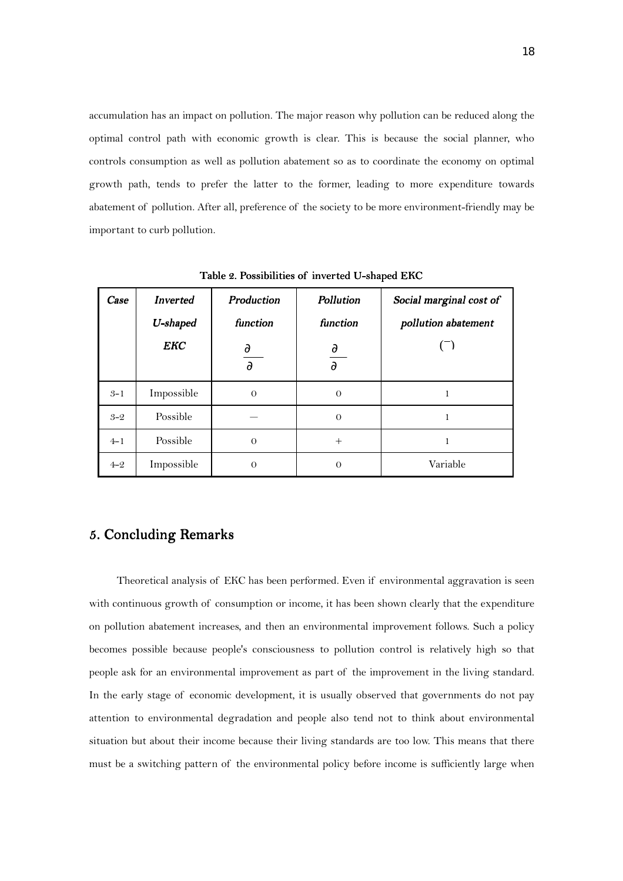accumulation has an impact on pollution. The major reason why pollution can be reduced along the optimal control path with economic growth is clear. This is because the social planner, who controls consumption as well as pollution abatement so as to coordinate the economy on optimal growth path, tends to prefer the latter to the former, leading to more expenditure towards abatement of pollution. After all, preference of the society to be more environment-friendly may be important to curb pollution.

| Case    | <b>Inverted</b> | Production               | Pollution                   | Social marginal cost of |
|---------|-----------------|--------------------------|-----------------------------|-------------------------|
|         | U-shaped        | function                 | function                    | pollution abatement     |
|         | <b>EKC</b>      | $\partial$<br>$\partial$ | $\mathcal{O}$<br>$\partial$ |                         |
| $3 - 1$ | Impossible      | $\Omega$                 | $\Omega$                    | 1                       |
| $3 - 2$ | Possible        |                          | $\theta$                    | 1                       |
| $4 - 1$ | Possible        | $\Omega$                 | $+$                         | 1                       |
| $4 - 2$ | Impossible      | $\Omega$                 | $\Omega$                    | Variable                |

Table 2. Possibilities of inverted U-shaped EKC

### 5. Concluding Remarks

 Theoretical analysis of EKC has been performed. Even if environmental aggravation is seen with continuous growth of consumption or income, it has been shown clearly that the expenditure on pollution abatement increases, and then an environmental improvement follows. Such a policy becomes possible because people's consciousness to pollution control is relatively high so that people ask for an environmental improvement as part of the improvement in the living standard. In the early stage of economic development, it is usually observed that governments do not pay attention to environmental degradation and people also tend not to think about environmental situation but about their income because their living standards are too low. This means that there must be a switching pattern of the environmental policy before income is sufficiently large when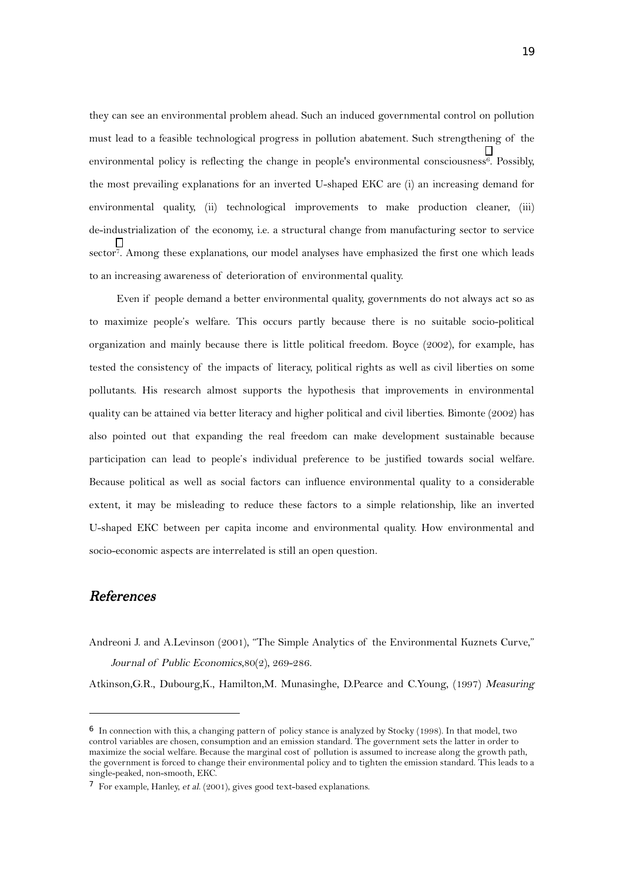they can see an environmental problem ahead. Such an induced governmental control on pollution must lead to a feasible technological progress in pollution abatement. Such strengthening of the environmental policy is reflecting the change in people's environmental consciousness<sup>6</sup>. Possibly, the most prevailing explanations for an inverted U-shaped EKC are (i) an increasing demand for environmental quality, (ii) technological improvements to make production cleaner, (iii) de-industrialization of the economy, i.e. a structural change from manufacturing sector to service sector7. Among these explanations, our model analyses have emphasized the first one which leads to an increasing awareness of deterioration of environmental quality.

Even if people demand a better environmental quality, governments do not always act so as to maximize people's welfare. This occurs partly because there is no suitable socio-political organization and mainly because there is little political freedom. Boyce (2002), for example, has tested the consistency of the impacts of literacy, political rights as well as civil liberties on some pollutants. His research almost supports the hypothesis that improvements in environmental quality can be attained via better literacy and higher political and civil liberties. Bimonte (2002) has also pointed out that expanding the real freedom can make development sustainable because participation can lead to people's individual preference to be justified towards social welfare. Because political as well as social factors can influence environmental quality to a considerable extent, it may be misleading to reduce these factors to a simple relationship, like an inverted U-shaped EKC between per capita income and environmental quality. How environmental and socio-economic aspects are interrelated is still an open question.

#### References References

 $\overline{a}$ 

Andreoni J. and A.Levinson (2001), "The Simple Analytics of the Environmental Kuznets Curve," Journal of Public Economics,80(2), 269-286.

Atkinson,G.R., Dubourg,K., Hamilton,M. Munasinghe, D.Pearce and C.Young, (1997) Measuring

<sup>6</sup> In connection with this, a changing pattern of policy stance is analyzed by Stocky (1998). In that model, two control variables are chosen, consumption and an emission standard. The government sets the latter in order to maximize the social welfare. Because the marginal cost of pollution is assumed to increase along the growth path, the government is forced to change their environmental policy and to tighten the emission standard. This leads to a single-peaked, non-smooth, EKC.

<sup>7</sup> For example, Hanley, et al. (2001), gives good text-based explanations.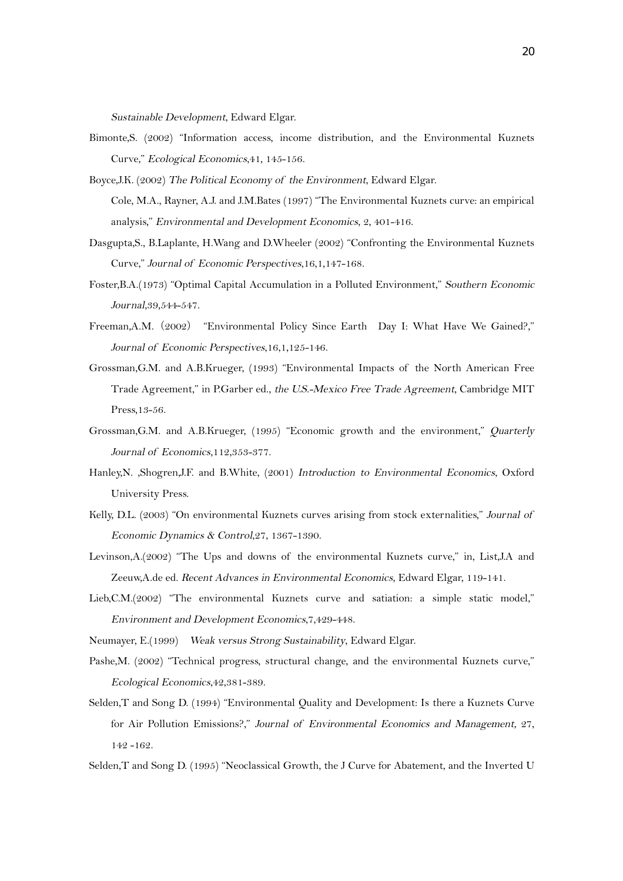Sustainable Development, Edward Elgar.

- Bimonte,S. (2002) "Information access, income distribution, and the Environmental Kuznets Curve," Ecological Economics,41, 145-156.
- Boyce,J.K. (2002) The Political Economy of the Environment, Edward Elgar. Cole, M.A., Rayner, A.J. and J.M.Bates (1997) "The Environmental Kuznets curve: an empirical analysis," Environmental and Development Economics, 2, 401-416.
- Dasgupta,S., B.Laplante, H.Wang and D.Wheeler (2002) "Confronting the Environmental Kuznets Curve," Journal of Economic Perspectives,16,1,147-168.
- Foster,B.A.(1973) "Optimal Capital Accumulation in a Polluted Environment," Southern Economic Journal,39,544-547.
- Freeman,A.M.(2002) "Environmental Policy Since Earth Day I: What Have We Gained?," Journal of Economic Perspectives,16,1,125-146.
- Grossman,G.M. and A.B.Krueger, (1993) "Environmental Impacts of the North American Free Trade Agreement," in P.Garber ed., the U.S.-Mexico Free Trade Agreement, Cambridge MIT Press,13-56.
- Grossman,G.M. and A.B.Krueger, (1995) "Economic growth and the environment," Quarterly Journal of Economics,112,353-377.
- Hanley,N. ,Shogren,J.F. and B.White, (2001) Introduction to Environmental Economics, Oxford University Press.
- Kelly, D.L. (2003) "On environmental Kuznets curves arising from stock externalities," Journal of Economic Dynamics & Control,27, 1367-1390.
- Levinson,A.(2002) "The Ups and downs of the environmental Kuznets curve," in, List,J.A and Zeeuw,A.de ed. Recent Advances in Environmental Economics, Edward Elgar, 119-141.
- Lieb,C.M.(2002) "The environmental Kuznets curve and satiation: a simple static model," Environment and Development Economics,7,429-448.
- Neumayer, E.(1999) Weak versus Strong Sustainability, Edward Elgar.
- Pashe,M. (2002) "Technical progress, structural change, and the environmental Kuznets curve," Ecological Economics,42,381-389.
- Selden,T and Song D. (1994) "Environmental Quality and Development: Is there a Kuznets Curve for Air Pollution Emissions?," Journal of Environmental Economics and Management, 27, 142 -162.
- Selden,T and Song D. (1995) "Neoclassical Growth, the J Curve for Abatement, and the Inverted U